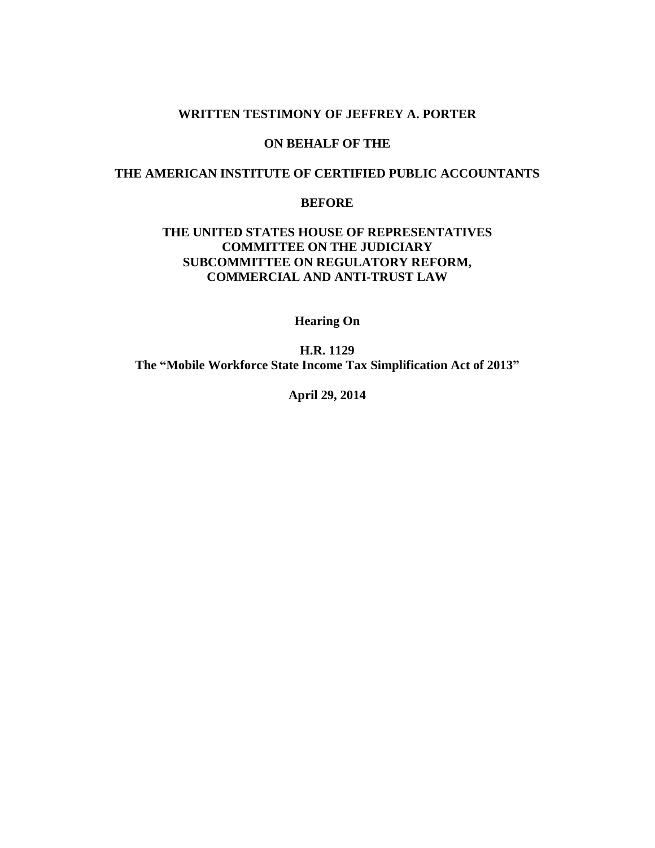# **WRITTEN TESTIMONY OF JEFFREY A. PORTER**

# **ON BEHALF OF THE**

# **THE AMERICAN INSTITUTE OF CERTIFIED PUBLIC ACCOUNTANTS**

# **BEFORE**

# **THE UNITED STATES HOUSE OF REPRESENTATIVES COMMITTEE ON THE JUDICIARY SUBCOMMITTEE ON REGULATORY REFORM, COMMERCIAL AND ANTI-TRUST LAW**

**Hearing On**

**H.R. 1129 The "Mobile Workforce State Income Tax Simplification Act of 2013"**

**April 29, 2014**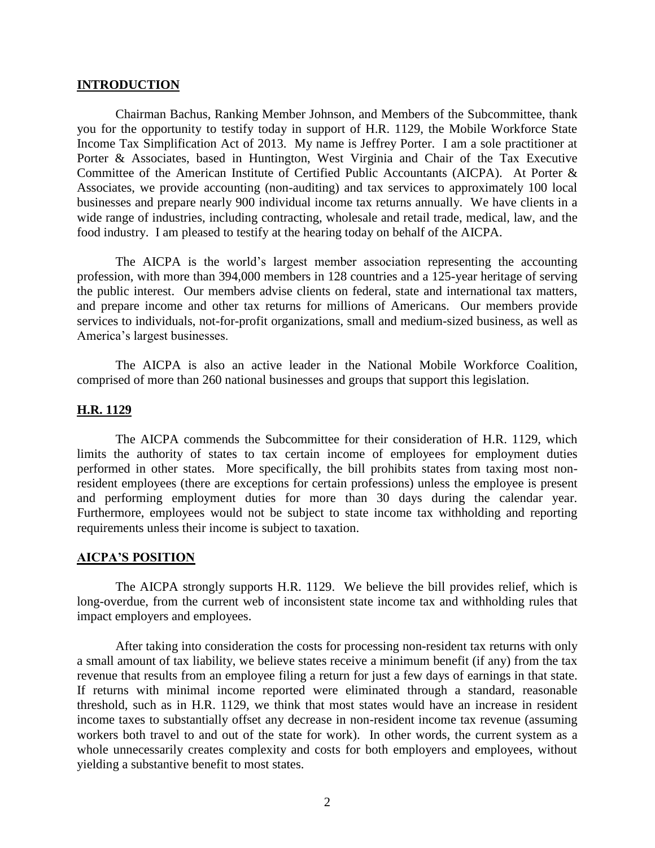### **INTRODUCTION**

Chairman Bachus, Ranking Member Johnson, and Members of the Subcommittee, thank you for the opportunity to testify today in support of H.R. 1129, the Mobile Workforce State Income Tax Simplification Act of 2013. My name is Jeffrey Porter. I am a sole practitioner at Porter & Associates, based in Huntington, West Virginia and Chair of the Tax Executive Committee of the American Institute of Certified Public Accountants (AICPA). At Porter & Associates, we provide accounting (non-auditing) and tax services to approximately 100 local businesses and prepare nearly 900 individual income tax returns annually. We have clients in a wide range of industries, including contracting, wholesale and retail trade, medical, law, and the food industry. I am pleased to testify at the hearing today on behalf of the AICPA.

The AICPA is the world's largest member association representing the accounting profession, with more than 394,000 members in 128 countries and a 125-year heritage of serving the public interest. Our members advise clients on federal, state and international tax matters, and prepare income and other tax returns for millions of Americans. Our members provide services to individuals, not-for-profit organizations, small and medium-sized business, as well as America's largest businesses.

The AICPA is also an active leader in the National Mobile Workforce Coalition, comprised of more than 260 national businesses and groups that support this legislation.

#### **H.R. 1129**

The AICPA commends the Subcommittee for their consideration of H.R. 1129, which limits the authority of states to tax certain income of employees for employment duties performed in other states. More specifically, the bill prohibits states from taxing most nonresident employees (there are exceptions for certain professions) unless the employee is present and performing employment duties for more than 30 days during the calendar year. Furthermore, employees would not be subject to state income tax withholding and reporting requirements unless their income is subject to taxation.

#### **AICPA'S POSITION**

The AICPA strongly supports H.R. 1129. We believe the bill provides relief, which is long-overdue, from the current web of inconsistent state income tax and withholding rules that impact employers and employees.

After taking into consideration the costs for processing non-resident tax returns with only a small amount of tax liability, we believe states receive a minimum benefit (if any) from the tax revenue that results from an employee filing a return for just a few days of earnings in that state. If returns with minimal income reported were eliminated through a standard, reasonable threshold, such as in H.R. 1129, we think that most states would have an increase in resident income taxes to substantially offset any decrease in non-resident income tax revenue (assuming workers both travel to and out of the state for work). In other words, the current system as a whole unnecessarily creates complexity and costs for both employers and employees, without yielding a substantive benefit to most states.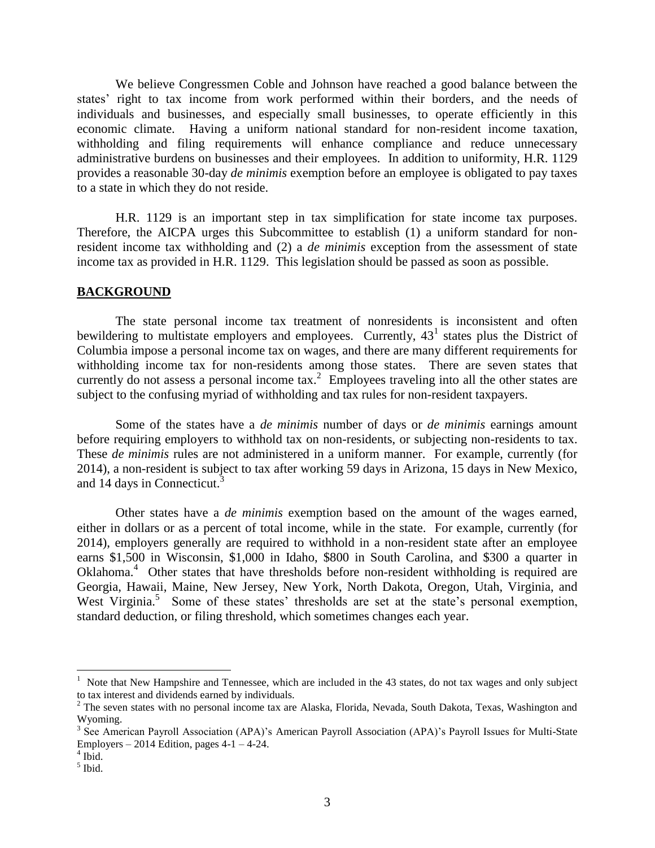We believe Congressmen Coble and Johnson have reached a good balance between the states' right to tax income from work performed within their borders, and the needs of individuals and businesses, and especially small businesses, to operate efficiently in this economic climate. Having a uniform national standard for non-resident income taxation, withholding and filing requirements will enhance compliance and reduce unnecessary administrative burdens on businesses and their employees. In addition to uniformity, H.R. 1129 provides a reasonable 30-day *de minimis* exemption before an employee is obligated to pay taxes to a state in which they do not reside.

H.R. 1129 is an important step in tax simplification for state income tax purposes. Therefore, the AICPA urges this Subcommittee to establish (1) a uniform standard for nonresident income tax withholding and (2) a *de minimis* exception from the assessment of state income tax as provided in H.R. 1129. This legislation should be passed as soon as possible.

# **BACKGROUND**

The state personal income tax treatment of nonresidents is inconsistent and often bewildering to multistate employers and employees. Currently,  $43<sup>1</sup>$  states plus the District of Columbia impose a personal income tax on wages, and there are many different requirements for withholding income tax for non-residents among those states. There are seven states that currently do not assess a personal income  $\text{tax.}^2$  Employees traveling into all the other states are subject to the confusing myriad of withholding and tax rules for non-resident taxpayers.

Some of the states have a *de minimis* number of days or *de minimis* earnings amount before requiring employers to withhold tax on non-residents, or subjecting non-residents to tax. These *de minimis* rules are not administered in a uniform manner. For example, currently (for 2014), a non-resident is subject to tax after working 59 days in Arizona, 15 days in New Mexico, and 14 days in Connecticut.<sup>3</sup>

Other states have a *de minimis* exemption based on the amount of the wages earned, either in dollars or as a percent of total income, while in the state. For example, currently (for 2014), employers generally are required to withhold in a non-resident state after an employee earns \$1,500 in Wisconsin, \$1,000 in Idaho, \$800 in South Carolina, and \$300 a quarter in Oklahoma.<sup>4</sup> Other states that have thresholds before non-resident withholding is required are Georgia, Hawaii, Maine, New Jersey, New York, North Dakota, Oregon, Utah, Virginia, and West Virginia.<sup>5</sup> Some of these states' thresholds are set at the state's personal exemption, standard deduction, or filing threshold, which sometimes changes each year.

 $\overline{a}$ 

<sup>&</sup>lt;sup>1</sup> Note that New Hampshire and Tennessee, which are included in the 43 states, do not tax wages and only subject to tax interest and dividends earned by individuals.

 $2$  The seven states with no personal income tax are Alaska, Florida, Nevada, South Dakota, Texas, Washington and Wyoming.

<sup>&</sup>lt;sup>3</sup> See American Payroll Association (APA)'s American Payroll Association (APA)'s Payroll Issues for Multi-State Employers – 2014 Edition, pages  $4-1-4-24$ .

 $<sup>4</sup>$  Ibid.</sup>

<sup>5</sup> Ibid.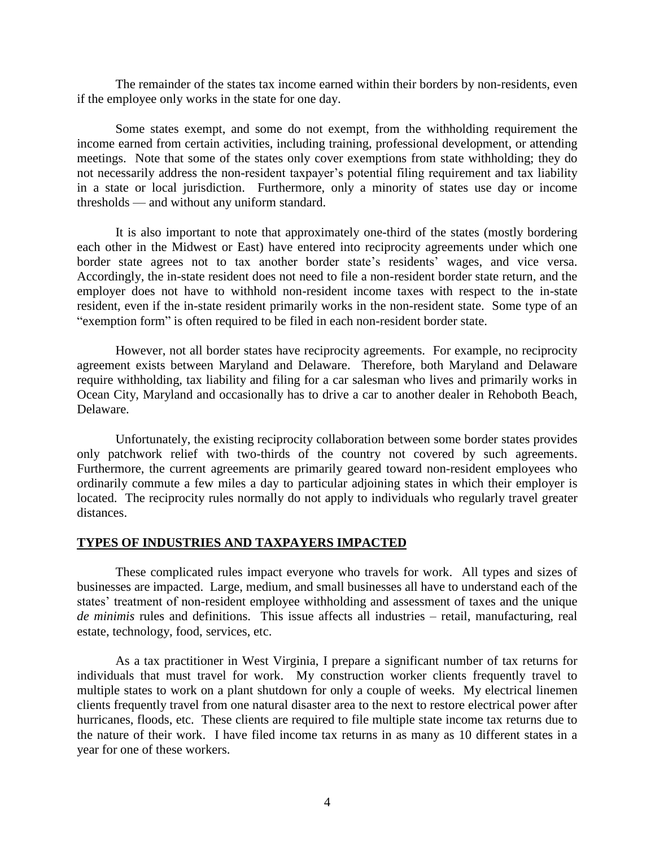The remainder of the states tax income earned within their borders by non-residents, even if the employee only works in the state for one day.

Some states exempt, and some do not exempt, from the withholding requirement the income earned from certain activities, including training, professional development, or attending meetings. Note that some of the states only cover exemptions from state withholding; they do not necessarily address the non-resident taxpayer's potential filing requirement and tax liability in a state or local jurisdiction. Furthermore, only a minority of states use day or income thresholds — and without any uniform standard.

It is also important to note that approximately one-third of the states (mostly bordering each other in the Midwest or East) have entered into reciprocity agreements under which one border state agrees not to tax another border state's residents' wages, and vice versa. Accordingly, the in-state resident does not need to file a non-resident border state return, and the employer does not have to withhold non-resident income taxes with respect to the in-state resident, even if the in-state resident primarily works in the non-resident state. Some type of an "exemption form" is often required to be filed in each non-resident border state.

However, not all border states have reciprocity agreements. For example, no reciprocity agreement exists between Maryland and Delaware. Therefore, both Maryland and Delaware require withholding, tax liability and filing for a car salesman who lives and primarily works in Ocean City, Maryland and occasionally has to drive a car to another dealer in Rehoboth Beach, Delaware.

Unfortunately, the existing reciprocity collaboration between some border states provides only patchwork relief with two-thirds of the country not covered by such agreements. Furthermore, the current agreements are primarily geared toward non-resident employees who ordinarily commute a few miles a day to particular adjoining states in which their employer is located. The reciprocity rules normally do not apply to individuals who regularly travel greater distances.

## **TYPES OF INDUSTRIES AND TAXPAYERS IMPACTED**

These complicated rules impact everyone who travels for work. All types and sizes of businesses are impacted. Large, medium, and small businesses all have to understand each of the states' treatment of non-resident employee withholding and assessment of taxes and the unique *de minimis* rules and definitions. This issue affects all industries – retail, manufacturing, real estate, technology, food, services, etc.

As a tax practitioner in West Virginia, I prepare a significant number of tax returns for individuals that must travel for work. My construction worker clients frequently travel to multiple states to work on a plant shutdown for only a couple of weeks. My electrical linemen clients frequently travel from one natural disaster area to the next to restore electrical power after hurricanes, floods, etc. These clients are required to file multiple state income tax returns due to the nature of their work. I have filed income tax returns in as many as 10 different states in a year for one of these workers.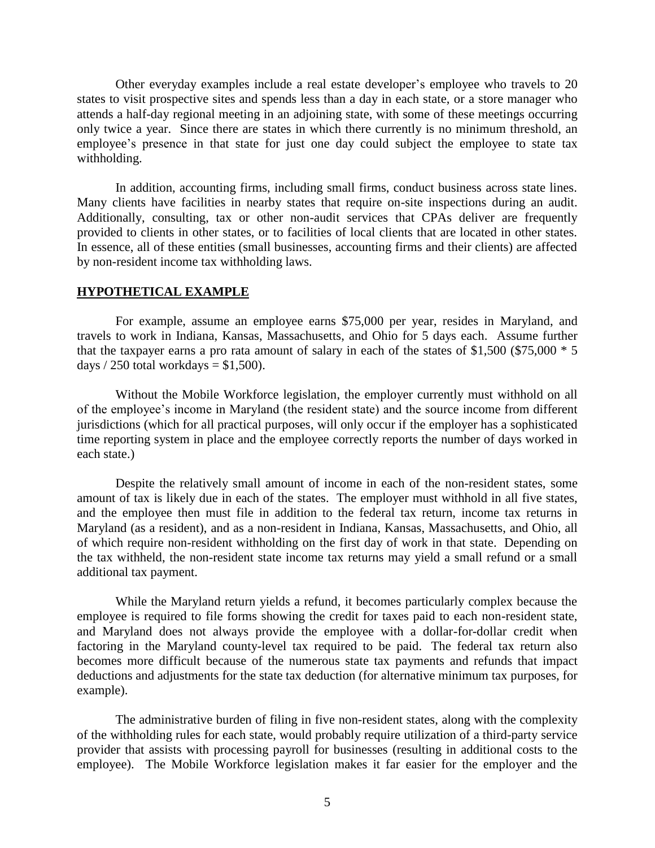Other everyday examples include a real estate developer's employee who travels to 20 states to visit prospective sites and spends less than a day in each state, or a store manager who attends a half-day regional meeting in an adjoining state, with some of these meetings occurring only twice a year. Since there are states in which there currently is no minimum threshold, an employee's presence in that state for just one day could subject the employee to state tax withholding.

In addition, accounting firms, including small firms, conduct business across state lines. Many clients have facilities in nearby states that require on-site inspections during an audit. Additionally, consulting, tax or other non-audit services that CPAs deliver are frequently provided to clients in other states, or to facilities of local clients that are located in other states. In essence, all of these entities (small businesses, accounting firms and their clients) are affected by non-resident income tax withholding laws.

## **HYPOTHETICAL EXAMPLE**

For example, assume an employee earns \$75,000 per year, resides in Maryland, and travels to work in Indiana, Kansas, Massachusetts, and Ohio for 5 days each. Assume further that the taxpayer earns a pro rata amount of salary in each of the states of \$1,500 (\$75,000  $*$  5 days  $/ 250$  total workdays = \$1,500).

Without the Mobile Workforce legislation, the employer currently must withhold on all of the employee's income in Maryland (the resident state) and the source income from different jurisdictions (which for all practical purposes, will only occur if the employer has a sophisticated time reporting system in place and the employee correctly reports the number of days worked in each state.)

Despite the relatively small amount of income in each of the non-resident states, some amount of tax is likely due in each of the states. The employer must withhold in all five states, and the employee then must file in addition to the federal tax return, income tax returns in Maryland (as a resident), and as a non-resident in Indiana, Kansas, Massachusetts, and Ohio, all of which require non-resident withholding on the first day of work in that state. Depending on the tax withheld, the non-resident state income tax returns may yield a small refund or a small additional tax payment.

While the Maryland return yields a refund, it becomes particularly complex because the employee is required to file forms showing the credit for taxes paid to each non-resident state, and Maryland does not always provide the employee with a dollar-for-dollar credit when factoring in the Maryland county-level tax required to be paid. The federal tax return also becomes more difficult because of the numerous state tax payments and refunds that impact deductions and adjustments for the state tax deduction (for alternative minimum tax purposes, for example).

The administrative burden of filing in five non-resident states, along with the complexity of the withholding rules for each state, would probably require utilization of a third-party service provider that assists with processing payroll for businesses (resulting in additional costs to the employee). The Mobile Workforce legislation makes it far easier for the employer and the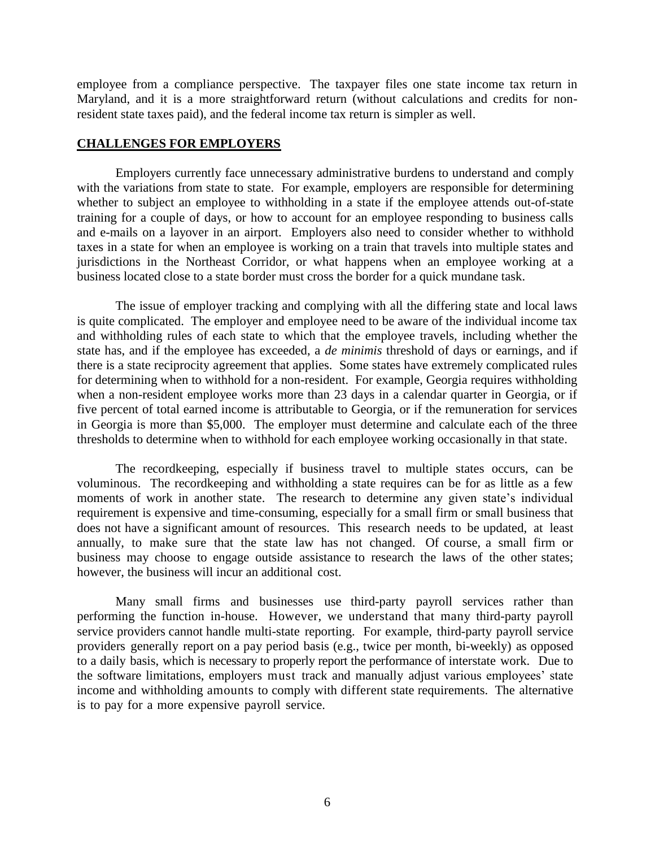employee from a compliance perspective. The taxpayer files one state income tax return in Maryland, and it is a more straightforward return (without calculations and credits for nonresident state taxes paid), and the federal income tax return is simpler as well.

### **CHALLENGES FOR EMPLOYERS**

Employers currently face unnecessary administrative burdens to understand and comply with the variations from state to state. For example, employers are responsible for determining whether to subject an employee to withholding in a state if the employee attends out-of-state training for a couple of days, or how to account for an employee responding to business calls and e-mails on a layover in an airport. Employers also need to consider whether to withhold taxes in a state for when an employee is working on a train that travels into multiple states and jurisdictions in the Northeast Corridor, or what happens when an employee working at a business located close to a state border must cross the border for a quick mundane task.

The issue of employer tracking and complying with all the differing state and local laws is quite complicated. The employer and employee need to be aware of the individual income tax and withholding rules of each state to which that the employee travels, including whether the state has, and if the employee has exceeded, a *de minimis* threshold of days or earnings, and if there is a state reciprocity agreement that applies. Some states have extremely complicated rules for determining when to withhold for a non-resident. For example, Georgia requires withholding when a non-resident employee works more than 23 days in a calendar quarter in Georgia, or if five percent of total earned income is attributable to Georgia, or if the remuneration for services in Georgia is more than \$5,000. The employer must determine and calculate each of the three thresholds to determine when to withhold for each employee working occasionally in that state.

The recordkeeping, especially if business travel to multiple states occurs, can be voluminous. The recordkeeping and withholding a state requires can be for as little as a few moments of work in another state. The research to determine any given state's individual requirement is expensive and time-consuming, especially for a small firm or small business that does not have a significant amount of resources. This research needs to be updated, at least annually, to make sure that the state law has not changed. Of course, a small firm or business may choose to engage outside assistance to research the laws of the other states; however, the business will incur an additional cost.

Many small firms and businesses use third-party payroll services rather than performing the function in-house. However, we understand that many third-party payroll service providers cannot handle multi-state reporting. For example, third-party payroll service providers generally report on a pay period basis (e.g., twice per month, bi-weekly) as opposed to a daily basis, which is necessary to properly report the performance of interstate work. Due to the software limitations, employers must track and manually adjust various employees' state income and withholding amounts to comply with different state requirements. The alternative is to pay for a more expensive payroll service.